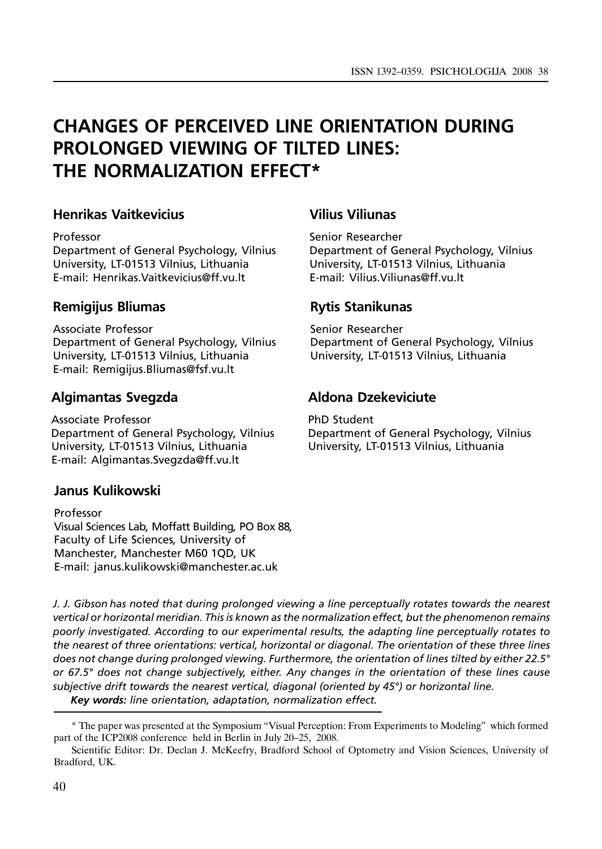# CHANGES OF PERCEIVED LINE ORIENTATION DURING PROLONGED VIEWING OF TILTED LINES: THE NORMALIZATION EFFECT\*

### Henrikas Vaitkevicius

#### Professor

Department of General Psychology, Vilnius University, LT-01513 Vilnius, Lithuania E-mail: Henrikas.Vaitkevicius@ff.vu.lt

# Remigijus Bliumas

Associate Professor Department of General Psychology, Vilnius University, LT-01513 Vilnius, Lithuania E-mail: Remigijus.Bliumas@fsf.vu.lt

### Algimantas Svegzda

Associate Professor Department of General Psychology, Vilnius University, LT-01513 Vilnius, Lithuania E-mail: Algimantas.Svegzda@ff.vu.lt

# Janus Kulikowski

Professor Visual Sciences Lab, Moffatt Building, PO Box 88, Faculty of Life Sciences, University of Manchester, Manchester M60 1QD, UK E-mail: janus.kulikowski@manchester.ac.uk

### Vilius Viliunas

Senior Researcher Department of General Psychology, Vilnius University, LT-01513 Vilnius, Lithuania E-mail: Vilius.Viliunas@ff.vu.lt

# Rytis Stanikunas

Senior Researcher Department of General Psychology, Vilnius University, LT-01513 Vilnius, Lithuania

# Aldona Dzekeviciute

PhD Student Department of General Psychology, Vilnius University, LT-01513 Vilnius, Lithuania

J. J. Gibson has noted that during prolonged viewing a line perceptually rotates towards the nearest vertical or horizontal meridian. This is known as the normalization effect, but the phenomenon remains poorly investigated. According to our experimental results, the adapting line perceptually rotates to the nearest of three orientations: vertical, horizontal or diagonal. The orientation of these three lines does not change during prolonged viewing. Furthermore, the orientation of lines tilted by either 22.5° or 67.5° does not change subjectively, either. Any changes in the orientation of these lines cause subjective drift towards the nearest vertical, diagonal (oriented by 45°) or horizontal line.

Key words: line orientation, adaptation, normalization effect.

<sup>\*</sup> The paper was presented at the Symposium "Visual Perception: From Experiments to Modeling" which formed part of the ICP2008 conference held in Berlin in July 20–25, 2008.

Scientific Editor: Dr. Declan J. McKeefry, Bradford School of Optometry and Vision Sciences, University of Bradford, UK.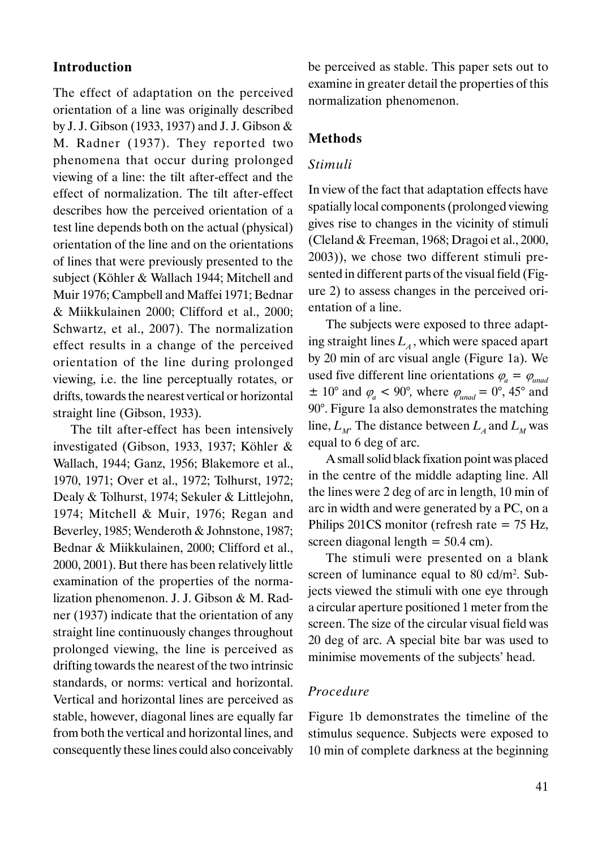### Introduction

The effect of adaptation on the perceived orientation of a line was originally described by J. J. Gibson (1933, 1937) and J. J. Gibson & M. Radner (1937). They reported two phenomena that occur during prolonged viewing of a line: the tilt after-effect and the effect of normalization. The tilt after-effect describes how the perceived orientation of a test line depends both on the actual (physical) orientation of the line and on the orientations of lines that were previously presented to the subject (Köhler & Wallach 1944; Mitchell and Muir 1976; Campbell and Maffei 1971; Bednar & Miikkulainen 2000; Clifford et al., 2000; Schwartz, et al., 2007). The normalization effect results in a change of the perceived orientation of the line during prolonged viewing, i.e. the line perceptually rotates, or drifts, towards the nearest vertical or horizontal straight line (Gibson, 1933).

The tilt after-effect has been intensively investigated (Gibson, 1933, 1937; Köhler & Wallach, 1944; Ganz, 1956; Blakemore et al., 1970, 1971; Over et al., 1972; Tolhurst, 1972; Dealy & Tolhurst, 1974; Sekuler & Littlejohn, 1974; Mitchell & Muir, 1976; Regan and Beverley, 1985; Wenderoth & Johnstone, 1987; Bednar & Miikkulainen, 2000; Clifford et al., 2000, 2001). But there has been relatively little examination of the properties of the normalization phenomenon. J. J. Gibson & M. Radner (1937) indicate that the orientation of any straight line continuously changes throughout prolonged viewing, the line is perceived as drifting towards the nearest of the two intrinsic standards, or norms: vertical and horizontal. Vertical and horizontal lines are perceived as stable, however, diagonal lines are equally far from both the vertical and horizontal lines, and consequently these lines could also conceivably be perceived as stable. This paper sets out to examine in greater detail the properties of this normalization phenomenon.

#### Methods

#### Stimuli

In view of the fact that adaptation effects have spatially local components (prolonged viewing gives rise to changes in the vicinity of stimuli (Cleland & Freeman, 1968; Dragoi et al., 2000, 2003)), we chose two different stimuli presented in different parts of the visual field (Figure 2) to assess changes in the perceived orientation of a line.

The subjects were exposed to three adapting straight lines  $L<sub>4</sub>$ , which were spaced apart by 20 min of arc visual angle (Figure 1a). We used five different line orientations  $\varphi_a = \varphi_{u\text{mad}}$  $\pm$  10° and  $\varphi_a$  < 90°, where  $\varphi_{u\alpha}$  = 0°, 45° and 90°. Figure 1a also demonstrates the matching line,  $L_M$ . The distance between  $L_A$  and  $L_M$  was equal to 6 deg of arc.

A small solid black fixation point was placed in the centre of the middle adapting line. All the lines were 2 deg of arc in length, 10 min of arc in width and were generated by a PC, on a Philips 201CS monitor (refresh rate  $= 75$  Hz, screen diagonal length  $= 50.4$  cm).

The stimuli were presented on a blank screen of luminance equal to 80 cd/m2. Subjects viewed the stimuli with one eye through a circular aperture positioned 1 meter from the screen. The size of the circular visual field was 20 deg of arc. A special bite bar was used to minimise movements of the subjects' head.

### Procedure

Figure 1b demonstrates the timeline of the stimulus sequence. Subjects were exposed to 10 min of complete darkness at the beginning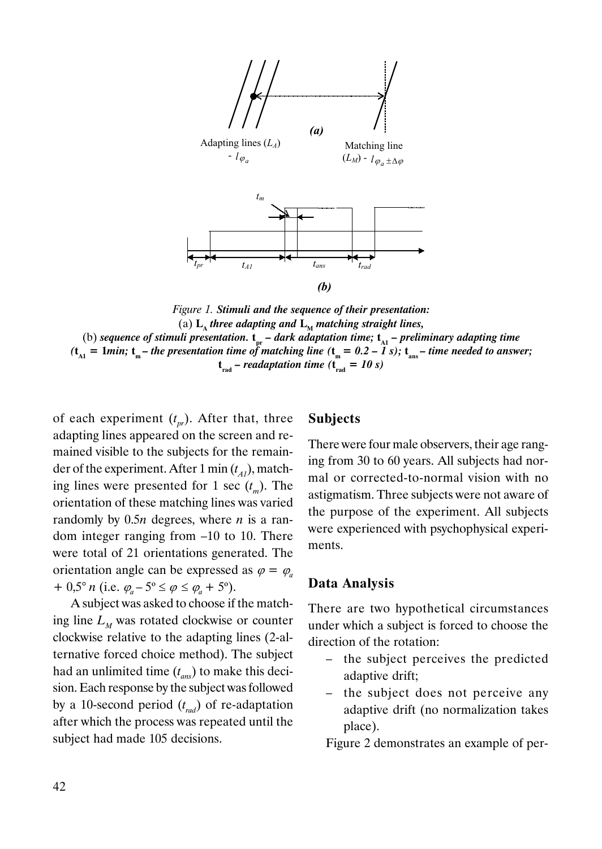

Figure 1. Stimuli and the sequence of their presentation: (a)  $L_{\text{A}}$  three adapting and  $L_{\text{M}}$  matching straight lines, (b) sequence of stimuli presentation.  $t_{pr}$  – dark adaptation time;  $t_{\text{A1}}$  – preliminary adapting time  $(t_{\text{A1}} = 1$ min;  $t_{\text{m}}$  – the presentation time of matching line  $(t_{\text{m}} = 0.2 - 1 \text{ s})$ ;  $t_{\text{max}}$  – time needed to answer;  $t_{rad}$  – readaptation time ( $t_{rad}$  = 10 s)

of each experiment  $(t_{pr})$ . After that, three adapting lines appeared on the screen and remained visible to the subjects for the remainder of the experiment. After 1 min  $(t_{AI})$ , matching lines were presented for 1 sec  $(t_m)$ . The orientation of these matching lines was varied randomly by  $0.5n$  degrees, where *n* is a random integer ranging from –10 to 10. There were total of 21 orientations generated. The orientation angle can be expressed as  $\varphi = \varphi$ + 0,5° n (i.e.  $\varphi_a - 5$ °  $\leq \varphi \leq \varphi_a + 5$ °).

A subject was asked to choose if the matching line  $L<sub>M</sub>$  was rotated clockwise or counter clockwise relative to the adapting lines (2-alternative forced choice method). The subject had an unlimited time  $(t_{ans})$  to make this decision. Each response by the subject was followed by a 10-second period  $(t_{rad})$  of re-adaptation after which the process was repeated until the subject had made 105 decisions.

### Subjects

There were four male observers, their age ranging from 30 to 60 years. All subjects had normal or corrected-to-normal vision with no astigmatism. Three subjects were not aware of the purpose of the experiment. All subjects were experienced with psychophysical experiments.

### Data Analysis

There are two hypothetical circumstances under which a subject is forced to choose the direction of the rotation:

- the subject perceives the predicted adaptive drift;
- the subject does not perceive any adaptive drift (no normalization takes place).

Figure 2 demonstrates an example of per-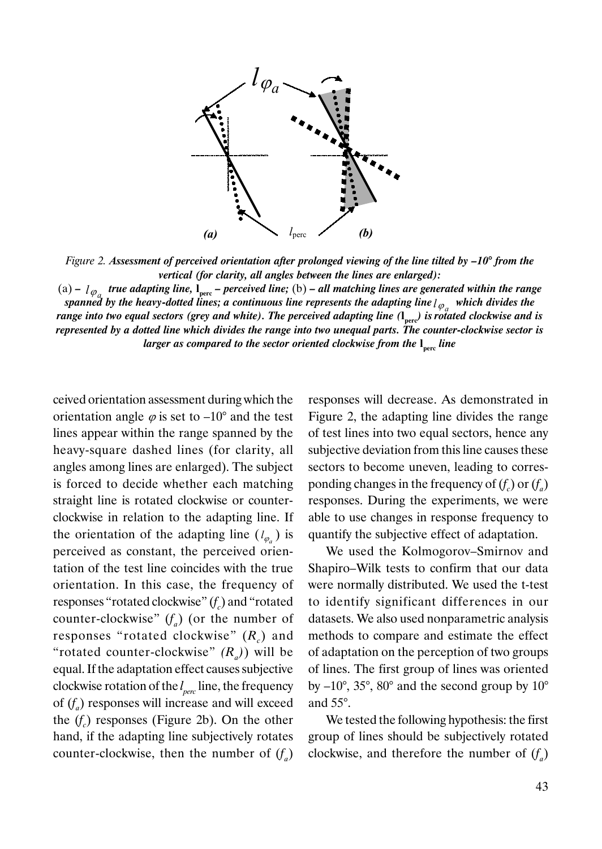

Figure 2. Assessment of perceived orientation after prolonged viewing of the line tilted by  $-10^{\circ}$  from the vertical (for clarity, all angles between the lines are enlarged):

(a) –  $l_{\phi_a}$  true adapting line,  $l_{\text{perc}}$  – perceived line; (b) – all matching lines are generated within the range spanned by the heavy-dotted lines; a continuous line represents the adapting line  $l_{\varphi_a}$  which divides the range into two equal sectors (grey and white). The perceived adapting line  $(l_{per})$  is rotated clockwise and is represented by a dotted line which divides the range into two unequal parts. The counter-clockwise sector is larger as compared to the sector oriented clockwise from the l<sub>perc</sub> line

ceived orientation assessment during which the orientation angle  $\varphi$  is set to –10° and the test lines appear within the range spanned by the heavy-square dashed lines (for clarity, all angles among lines are enlarged). The subject is forced to decide whether each matching straight line is rotated clockwise or counterclockwise in relation to the adapting line. If the orientation of the adapting line  $(l_{\varphi})$  is perceived as constant, the perceived orientation of the test line coincides with the true orientation. In this case, the frequency of responses "rotated clockwise"  $(f_c)$  and "rotated counter-clockwise"  $(f_a)$  (or the number of responses "rotated clockwise"  $(R_c)$  and "rotated counter-clockwise"  $(R_1)$ ) will be equal. If the adaptation effect causes subjective clockwise rotation of the  $l_{per}$  line, the frequency of  $(f_a)$  responses will increase and will exceed the  $(f_c)$  responses (Figure 2b). On the other hand, if the adapting line subjectively rotates counter-clockwise, then the number of  $(f_a)$  responses will decrease. As demonstrated in Figure 2, the adapting line divides the range of test lines into two equal sectors, hence any subjective deviation from this line causes these sectors to become uneven, leading to corresponding changes in the frequency of  $(f_c)$  or  $(f_a)$ responses. During the experiments, we were able to use changes in response frequency to quantify the subjective effect of adaptation.

We used the Kolmogorov–Smirnov and Shapiro–Wilk tests to confirm that our data were normally distributed. We used the t-test to identify significant differences in our datasets. We also used nonparametric analysis methods to compare and estimate the effect of adaptation on the perception of two groups of lines. The first group of lines was oriented by  $-10^{\circ}$ , 35°, 80° and the second group by  $10^{\circ}$ and 55°.

We tested the following hypothesis: the first group of lines should be subjectively rotated clockwise, and therefore the number of  $(f_a)$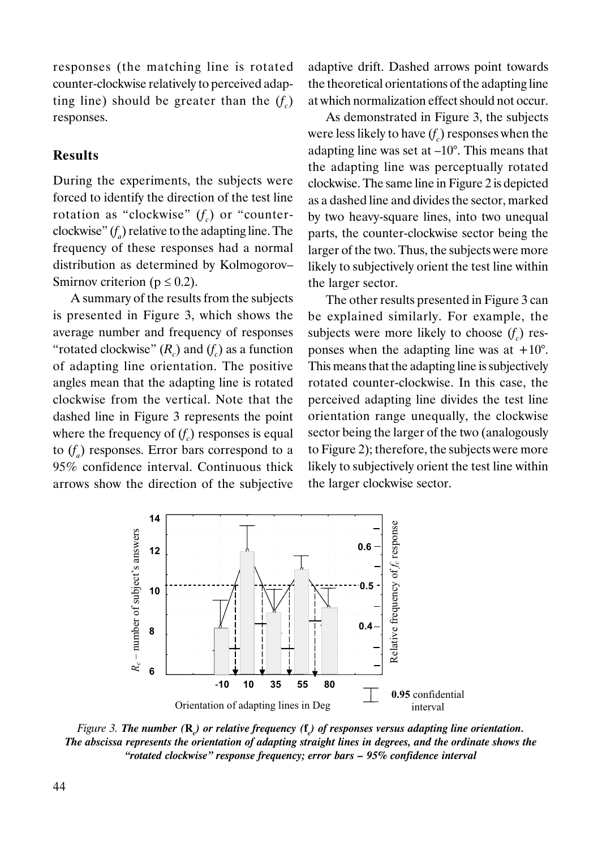responses (the matching line is rotated counter-clockwise relatively to perceived adapting line) should be greater than the  $(f_c)$ responses.

### Results

During the experiments, the subjects were forced to identify the direction of the test line rotation as "clockwise"  $(f_c)$  or "counterclockwise"  $(f_a)$  relative to the adapting line. The frequency of these responses had a normal distribution as determined by Kolmogorov– Smirnov criterion ( $p \le 0.2$ ).

A summary of the results from the subjects is presented in Figure 3, which shows the average number and frequency of responses "rotated clockwise"  $(R_c)$  and  $(f_c)$  as a function of adapting line orientation. The positive angles mean that the adapting line is rotated clockwise from the vertical. Note that the dashed line in Figure 3 represents the point where the frequency of  $(f_c)$  responses is equal to  $(f_a)$  responses. Error bars correspond to a 95% confidence interval. Continuous thick arrows show the direction of the subjective adaptive drift. Dashed arrows point towards the theoretical orientations of the adapting line at which normalization effect should not occur.

As demonstrated in Figure 3, the subjects were less likely to have  $(f_c)$  responses when the adapting line was set at  $-10^{\circ}$ . This means that the adapting line was perceptually rotated clockwise. The same line in Figure 2 is depicted as a dashed line and divides the sector, marked by two heavy-square lines, into two unequal parts, the counter-clockwise sector being the larger of the two. Thus, the subjects were more likely to subjectively orient the test line within the larger sector.

The other results presented in Figure 3 can be explained similarly. For example, the subjects were more likely to choose  $(f_c)$  responses when the adapting line was at  $+10^{\circ}$ . This means that the adapting line is subjectively rotated counter-clockwise. In this case, the perceived adapting line divides the test line orientation range unequally, the clockwise sector being the larger of the two (analogously to Figure 2); therefore, the subjects were more likely to subjectively orient the test line within the larger clockwise sector.



Figure 3. The number ( $\mathbf{R}_c$ ) or relative frequency ( $\mathbf{f}_c$ ) of responses versus adapting line orientation. The abscissa represents the orientation of adapting straight lines in degrees, and the ordinate shows the "rotated clockwise" response frequency; error bars – 95% confidence interval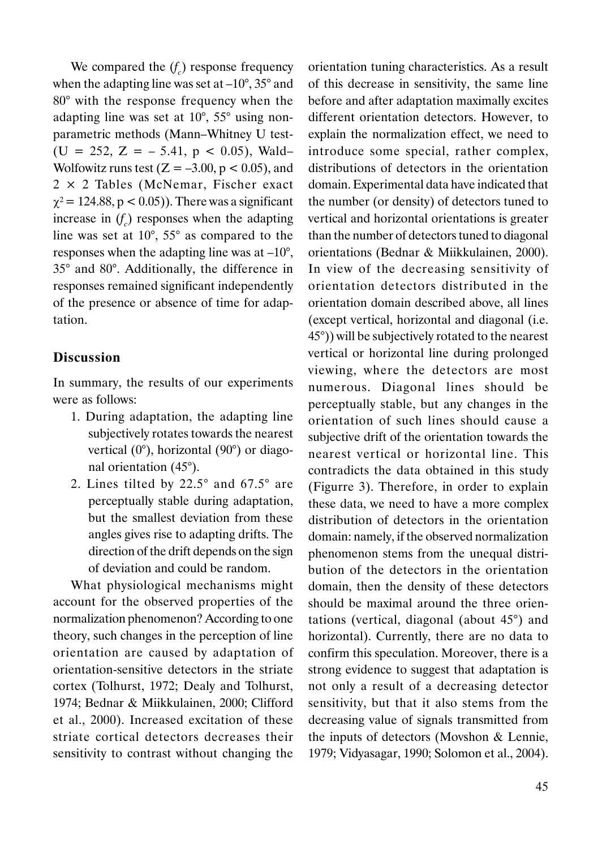We compared the  $(f_c)$  response frequency when the adapting line was set at  $-10^{\circ}$ , 35° and 80° with the response frequency when the adapting line was set at 10°, 55° using nonparametric methods (Mann–Whitney U test- (U = 252, Z =  $-$  5.41, p < 0.05), Wald-Wolfowitz runs test  $(Z = -3.00, p < 0.05)$ , and 2 × 2 Tables (McNemar, Fischer exact  $\chi^2$  = 124.88, p < 0.05)). There was a significant increase in  $(f_c)$  responses when the adapting line was set at 10°, 55° as compared to the responses when the adapting line was at  $-10^{\circ}$ , 35° and 80°. Additionally, the difference in responses remained significant independently of the presence or absence of time for adaptation.

### Discussion

In summary, the results of our experiments were as follows:

- 1. During adaptation, the adapting line subjectively rotates towards the nearest vertical (0°), horizontal (90°) or diagonal orientation (45°).
- 2. Lines tilted by 22.5° and 67.5° are perceptually stable during adaptation, but the smallest deviation from these angles gives rise to adapting drifts. The direction of the drift depends on the sign of deviation and could be random.

What physiological mechanisms might account for the observed properties of the normalization phenomenon? According to one theory, such changes in the perception of line orientation are caused by adaptation of orientation-sensitive detectors in the striate cortex (Tolhurst, 1972; Dealy and Tolhurst, 1974; Bednar & Miikkulainen, 2000; Clifford et al., 2000). Increased excitation of these striate cortical detectors decreases their sensitivity to contrast without changing the orientation tuning characteristics. As a result of this decrease in sensitivity, the same line before and after adaptation maximally excites different orientation detectors. However, to explain the normalization effect, we need to introduce some special, rather complex, distributions of detectors in the orientation domain. Experimental data have indicated that the number (or density) of detectors tuned to vertical and horizontal orientations is greater than the number of detectors tuned to diagonal orientations (Bednar & Miikkulainen, 2000). In view of the decreasing sensitivity of orientation detectors distributed in the orientation domain described above, all lines (except vertical, horizontal and diagonal (i.e. 45°)) will be subjectively rotated to the nearest vertical or horizontal line during prolonged viewing, where the detectors are most numerous. Diagonal lines should be perceptually stable, but any changes in the orientation of such lines should cause a subjective drift of the orientation towards the nearest vertical or horizontal line. This contradicts the data obtained in this study (Figurre 3). Therefore, in order to explain these data, we need to have a more complex distribution of detectors in the orientation domain: namely, if the observed normalization phenomenon stems from the unequal distribution of the detectors in the orientation domain, then the density of these detectors should be maximal around the three orientations (vertical, diagonal (about 45°) and horizontal). Currently, there are no data to confirm this speculation. Moreover, there is a strong evidence to suggest that adaptation is not only a result of a decreasing detector sensitivity, but that it also stems from the decreasing value of signals transmitted from the inputs of detectors (Movshon & Lennie, 1979; Vidyasagar, 1990; Solomon et al., 2004).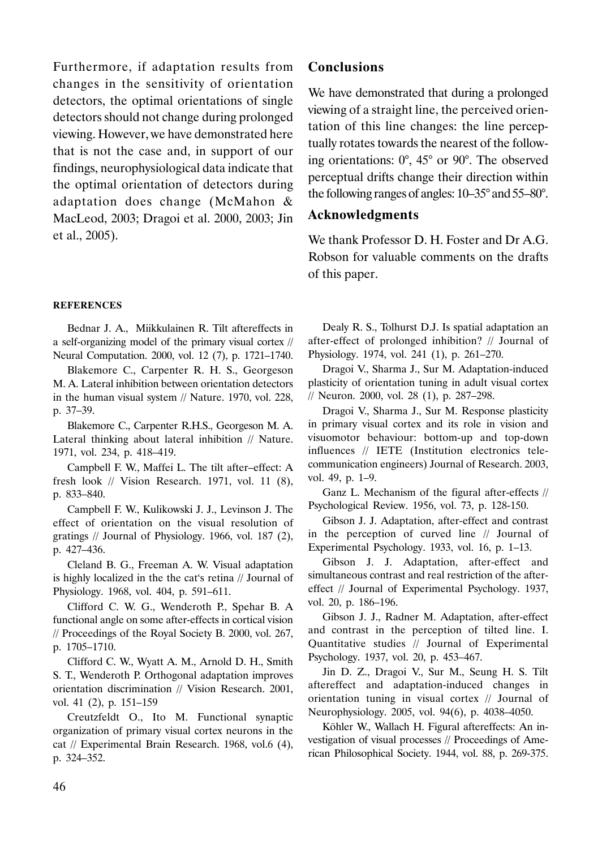Furthermore, if adaptation results from changes in the sensitivity of orientation detectors, the optimal orientations of single detectors should not change during prolonged viewing. However, we have demonstrated here that is not the case and, in support of our findings, neurophysiological data indicate that the optimal orientation of detectors during adaptation does change (McMahon & MacLeod, 2003; Dragoi et al. 2000, 2003; Jin et al., 2005).

#### **REFERENCES**

Bednar J. A., Miikkulainen R. Tilt aftereffects in a self-organizing model of the primary visual cortex // Neural Computation. 2000, vol. 12 (7), p. 1721–1740.

Blakemore C., Carpenter R. H. S., Georgeson M. A. Lateral inhibition between orientation detectors in the human visual system // Nature. 1970, vol. 228, p. 37–39.

Blakemore C., Carpenter R.H.S., Georgeson M. A. Lateral thinking about lateral inhibition // Nature. 1971, vol. 234, p. 418–419.

Campbell F. W., Maffei L. The tilt after–effect: A fresh look // Vision Research. 1971, vol. 11 (8), p. 833–840.

Campbell F. W., Kulikowski J. J., Levinson J. The effect of orientation on the visual resolution of gratings // Journal of Physiology. 1966, vol. 187 (2), p. 427–436.

Cleland B. G., Freeman A. W. Visual adaptation is highly localized in the the cat's retina // Journal of Physiology. 1968, vol. 404, p. 591–611.

Clifford C. W. G., Wenderoth P., Spehar B. A functional angle on some after-effects in cortical vision // Proceedings of the Royal Society B. 2000, vol. 267, p. 1705–1710.

Clifford C. W., Wyatt A. M., Arnold D. H., Smith S. T., Wenderoth P. Orthogonal adaptation improves orientation discrimination // Vision Research. 2001, vol. 41 (2), p. 151–159

Creutzfeldt O., Ito M. Functional synaptic organization of primary visual cortex neurons in the cat // Experimental Brain Research. 1968, vol.6 (4), p. 324–352.

### Conclusions

We have demonstrated that during a prolonged viewing of a straight line, the perceived orientation of this line changes: the line perceptually rotates towards the nearest of the following orientations: 0°, 45° or 90°. The observed perceptual drifts change their direction within the following ranges of angles: 10–35° and 55–80°.

#### Acknowledgments

We thank Professor D. H. Foster and Dr A.G. Robson for valuable comments on the drafts of this paper.

Dealy R. S., Tolhurst D.J. Is spatial adaptation an after-effect of prolonged inhibition? // Journal of Physiology. 1974, vol. 241 (1), p. 261–270.

Dragoi V., Sharma J., Sur M. Adaptation-induced plasticity of orientation tuning in adult visual cortex // Neuron. 2000, vol. 28 (1), p. 287–298.

Dragoi V., Sharma J., Sur M. Response plasticity in primary visual cortex and its role in vision and visuomotor behaviour: bottom-up and top-down influences // IETE (Institution electronics telecommunication engineers) Journal of Research. 2003, vol. 49, p. 1–9.

Ganz L. Mechanism of the figural after-effects // Psychological Review. 1956, vol. 73, p. 128-150.

Gibson J. J. Adaptation, after-effect and contrast in the perception of curved line // Journal of Experimental Psychology. 1933, vol. 16, p. 1–13.

Gibson J. J. Adaptation, after-effect and simultaneous contrast and real restriction of the aftereffect // Journal of Experimental Psychology. 1937, vol. 20, p. 186–196.

Gibson J. J., Radner M. Adaptation, after-effect and contrast in the perception of tilted line. I. Quantitative studies // Journal of Experimental Psychology. 1937, vol. 20, p. 453–467.

Jin D. Z., Dragoi V., Sur M., Seung H. S. Tilt aftereffect and adaptation-induced changes in orientation tuning in visual cortex // Journal of Neurophysiology. 2005, vol. 94(6), p. 4038–4050.

Köhler W., Wallach H. Figural aftereffects: An investigation of visual processes // Proceedings of American Philosophical Society. 1944, vol. 88, p. 269-375.